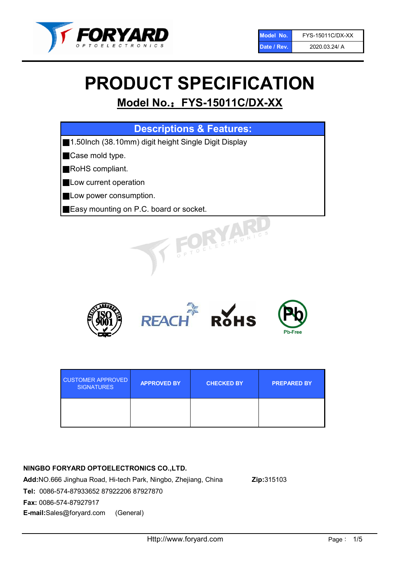

# PRODUCT SPECIFICATION

## Model No.: FYS-15011C/DX-XX

| <b>Descriptions &amp; Features:</b>                   |
|-------------------------------------------------------|
| ■1.50lnch (38.10mm) digit height Single Digit Display |
| Case mold type.                                       |
| RoHS compliant.                                       |
| Low current operation                                 |
| Low power consumption.                                |
| <b>Easy mounting on P.C. board or socket.</b>         |
| LOELECTRONIC.                                         |



| <b>CUSTOMER APPROVED</b><br><b>SIGNATURES</b> | <b>APPROVED BY</b> | <b>CHECKED BY</b> | <b>PREPARED BY</b> |  |
|-----------------------------------------------|--------------------|-------------------|--------------------|--|
|                                               |                    |                   |                    |  |

## NINGBO FORYARD OPTOELECTRONICS CO.,LTD.

Add:NO.666 Jinghua Road, Hi-tech Park, Ningbo, Zhejiang, China Zip:315103 Tel: 0086-574-87933652 87922206 87927870 Fax: 0086-574-87927917 E-mail:Sales@foryard.com (General)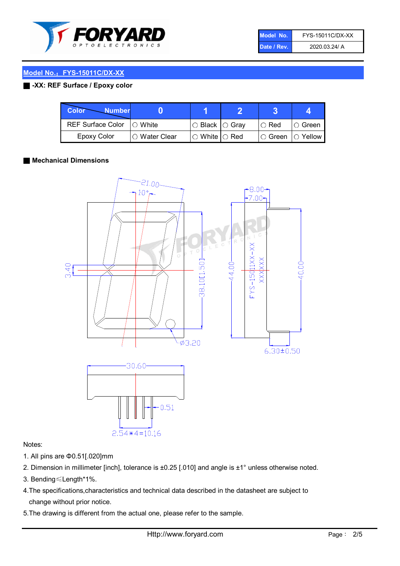

| Model No.   | FYS-15011C/DX-XX |
|-------------|------------------|
| Date / Rev. | 2020.03.24/ A    |

## Model No.: FYS-15011C/DX-XX

## ■ -XX: REF Surface / Epoxy color

| Color<br><b>Number</b>      |                |                                                   |               |                   |
|-----------------------------|----------------|---------------------------------------------------|---------------|-------------------|
| REF Surface Color   O White |                | $\circ$ Black $\circ$ Gray                        | $\circ$ Red   | $\circ$ Green     |
| Epoxy Color                 | I∩ Water Clear | $\mathbin{\varcap}$ White $\mathbin{\varcap}$ Red | $\circ$ Green | $\bigcirc$ Yellow |

#### ■ Mechanical Dimensions



#### Notes:

- 1. All pins are Φ0.51[.020]mm
- 2. Dimension in millimeter [inch], tolerance is ±0.25 [.010] and angle is ±1° unless otherwise noted.
- 3. Bending≤Length\*1%.
- 4.The specifications,characteristics and technical data described in the datasheet are subject to change without prior notice.
- 5.The drawing is different from the actual one, please refer to the sample.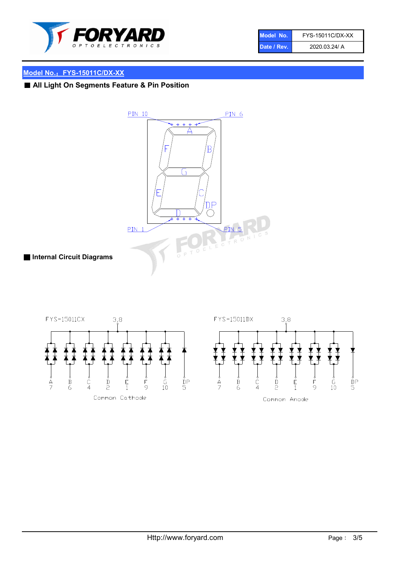

| Model No.   | FYS-15011C/DX-XX |
|-------------|------------------|
| Date / Rev. | 2020.03.24/ A    |

## Model No.: FYS-15011C/DX-XX

## ■ All Light On Segments Feature & Pin Position

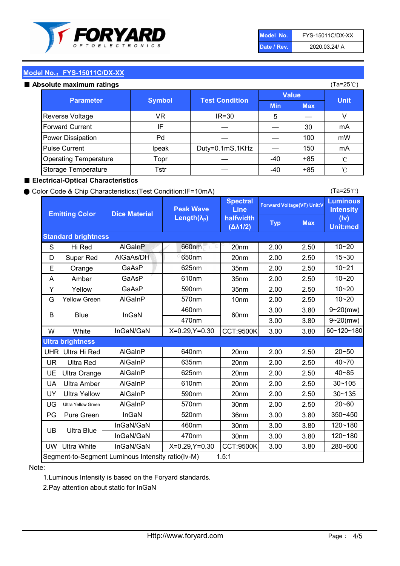

| Model No.   | FYS-15011C/DX-XX |
|-------------|------------------|
| Date / Rev. | 2020.03.24/ A    |

(Ta=25℃)

## Model No.: FYS-15011C/DX-XX

| Absolute maximum ratings     |               |                       |              | (Ta=25℃)   |             |
|------------------------------|---------------|-----------------------|--------------|------------|-------------|
| Parameter                    | <b>Symbol</b> | <b>Test Condition</b> | <b>Value</b> |            | <b>Unit</b> |
|                              |               |                       | <b>Min</b>   | <b>Max</b> |             |
| <b>Reverse Voltage</b>       | VR            | $IR = 30$             | 5            |            |             |
| <b>Forward Current</b>       | IF            |                       |              | 30         | mA          |
| Power Dissipation            | Pd            |                       |              | 100        | mW          |
| <b>Pulse Current</b>         | Ipeak         | Duty=0.1mS,1KHz       |              | 150        | mA          |
| <b>Operating Temperature</b> | Topr          |                       | -40          | $+85$      | °C          |
| Storage Temperature          | Tstr          |                       | -40          | $+85$      | °C          |

### ■ Electrical-Optical Characteristics

#### ● Color Code & Chip Characteristics:(Test Condition:IF=10mA)

Typ Max S | Hi $\textsf{Red}$  | AlGaInP | 660nm LE 20nm | 2.00 | 2.50 D | Super Red | AIGaAs/DH | 650nm | 20nm | 2.00 | 2.50 E | Orange | GaAsP | 625nm | 35nm | 2.00 | 2.50 A | Amber | GaAsP | 610nm | 35nm | 2.00 | 2.50 Y | Yellow | GaAsP | 590nm | 35nm | 2.00 | 2.50 G Yellow Green AIGaInP | 570nm | 10nm | 2.00 | 2.50 3.00 3.80 3.00 3.80 W | White | InGaN/GaN | X=0.29,Y=0.30 |CCT:9500K| 3.00 | 3.80 UHR Ultra Hi Red  $\vert$  AIGaInP  $\vert$  640nm  $\vert$  20nm  $\vert$  2.00  $\vert$  2.50 UR | Ultra Red | AlGaInP | 635nm | 20nm | 2.00 | 2.50 UE Ultra Orange | AIGaInP | 625nm | 20nm | 2.00 | 2.50 UA Ultra Amber | AIGaInP | 610nm | 20nm | 2.00 | 2.50  $UV$  Ultra Yellow  $\vert$  AlGaInP  $\vert$  590nm  $\vert$  20nm  $\vert$  2.00  $\vert$  2.50  $\text{UG}$  Ultra Yellow Green | AIGaInP | 570nm | 30nm | 2.00 | 2.50 PG Pure Green | InGaN | 520nm | 36nm | 3.00 | 3.80 30nm 3.00 3.80 30nm 3.00 3.80 UW |Ultra White | InGaN/GaN | X=0.29,Y=0.30 |CCT:9500K| 3.00 | 3.80 10~20 Standard brightness Forward Voltage(VF) Unit:V 15~30 10~20 10~20 625nm GaAsP 590nm **Emitting Color Dice Material** 10~21 610nm Luminous **Intensity** (Iv) Unit:mcd AlGainP 660nm GaAsP GaAsP AlGaAs/DH **Spectral** Line halfwidth (∆λ1/2) Peak Wave Length $(\lambda_{\rm P})$ UB 460nm 635nm AlGaInP AlGaInP AlGaInP InGaN/GaN AlGaInP | 570nm | 10nm | 2.00 | 2.50 | 10~20 30~105 30~135 460nm 520nm Ultra brightness **AlGaInP** AlGaInP 60nm AlGaInP 640nm Segment-to-Segment Luminous Intensity ratio(Iv-M) 1.5:1 610nm 9~20(mw) 350~450 470nm 120~180 120~180 Ultra Blue InGaN/GaN InGaN/GaN 9~20(mw) 20~50 280~600 570nm | 30nm | 2.00 | 2.50 | 20~60 470nm 590nm InGaN/GaN B Blue I InGaN 40~85 60~120~180 40~70

#### Note:

1.Luminous Intensity is based on the Foryard standards.

2.Pay attention about static for InGaN